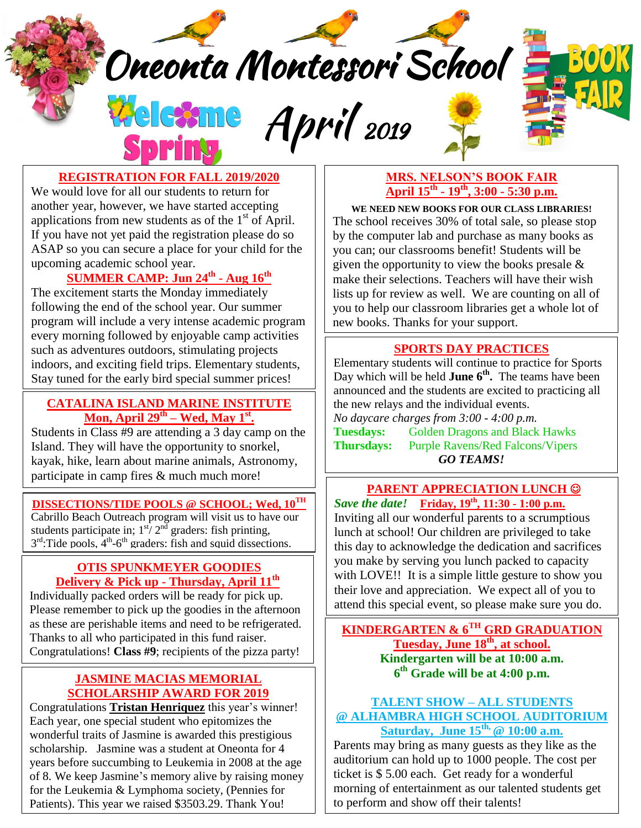Oneonta Montessori School

Welcome April 2019

 $\overline{\phantom{a}}$ 



**REGISTRATION FOR FALL 2019/2020**

applications from new students as of the  $1<sup>st</sup>$  of April. We would love for all our students to return for another year, however, we have started accepting If you have not yet paid the registration please do so ASAP so you can secure a place for your child for the upcoming academic school year.

# **SUMMER CAMP: Jun 24 th - Aug 16 th**

The excitement starts the Monday immediately following the end of the school year. Our summer program will include a very intense academic program every morning followed by enjoyable camp activities such as adventures outdoors, stimulating projects indoors, and exciting field trips. Elementary students, Stay tuned for the early bird special summer prices!

#### **CATALINA ISLAND MARINE INSTITUTE Mon, April 29th – Wed, May 1st .**

Students in Class #9 are attending a 3 day camp on the Island. They will have the opportunity to snorkel, kayak, hike, learn about marine animals, Astronomy, participate in camp fires & much much more!

#### **DISSECTIONS/TIDE POOLS @ SCHOOL; Wed, 10 TH**

Cabrillo Beach Outreach program will visit us to have our students participate in;  $1^{sf} / 2^{nd}$  graders: fish printing,  $3<sup>rd</sup>$ :Tide pools,  $4<sup>th</sup>$ -6<sup>th</sup> graders: fish and squid dissections.

#### **OTIS SPUNKMEYER GOODIES Delivery & Pick up - Thursday, April 11 th**

Individually packed orders will be ready for pick up. Please remember to pick up the goodies in the afternoon as these are perishable items and need to be refrigerated. Thanks to all who participated in this fund raiser. Congratulations! **Class #9**; recipients of the pizza party!

### **JASMINE MACIAS MEMORIAL SCHOLARSHIP AWARD FOR 2019**

Congratulations **Tristan Henriquez** this year's winner!<br>Each vear, one special student who epitomizes the Each year, one special student who epitomizes the wonderful traits of Jasmine is awarded this prestigious scholarship. Jasmine was a student at Oneonta for 4 years before succumbing to Leukemia in 2008 at the age of 8. We keep Jasmine's memory alive by raising money for the Leukemia & Lymphoma society, (Pennies for Patients). This year we raised \$3503.29. Thank You!

### **MRS. NELSON'S BOOK FAIR April 15th - 19th , 3:00 - 5:30 p.m.**

**WE NEED NEW BOOKS FOR OUR CLASS LIBRARIES!** The school receives 30% of total sale, so please stop by the computer lab and purchase as many books as you can; our classrooms benefit! Students will be given the opportunity to view the books presale & make their selections. Teachers will have their wish lists up for review as well. We are counting on all of you to help our classroom libraries get a whole lot of new books. Thanks for your support.

### **SPORTS DAY PRACTICES**

Elementary students will continue to practice for Sports Day which will be held **June 6 th .** The teams have been announced and the students are excited to practicing all the new relays and the individual events. *No daycare charges from 3:00 - 4:00 p.m.* **Tuesdays:** Golden Dragons and Black Hawks **Thursdays:** Purple Ravens/Red Falcons/Vipers *GO TEAMS!*

### **PARENT APPRECIATION LUNCH**  *Save the date!* **Friday, 19th , 11:30 - 1:00 p.m.**

Inviting all our wonderful parents to a scrumptious lunch at school! Our children are privileged to take this day to acknowledge the dedication and sacrifices you make by serving you lunch packed to capacity with LOVE!! It is a simple little gesture to show you their love and appreciation. We expect all of you to attend this special event, so please make sure you do.

**KINDERGARTEN & 6TH GRD GRADUATION Tuesday, June 18th , at school. Kindergarten will be at 10:00 a.m. 6 th Grade will be at 4:00 p.m.**

#### **TALENT SHOW – ALL STUDENTS @ ALHAMBRA HIGH SCHOOL AUDITORIUM Saturday, June 15 th, @ 10:00 a.m.**

Parents may bring as many guests as they like as the auditorium can hold up to 1000 people. The cost per ticket is \$ 5.00 each. Get ready for a wonderful morning of entertainment as our talented students get to perform and show off their talents!